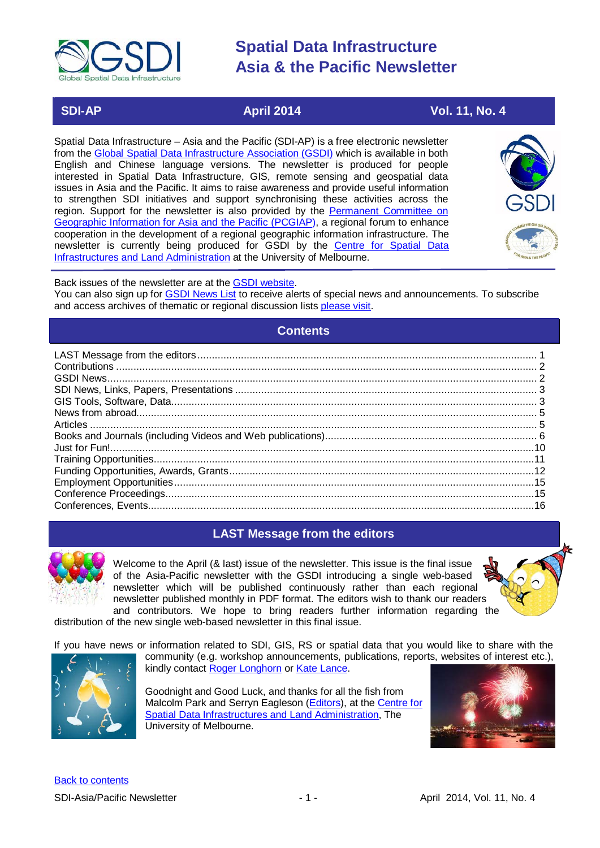

# **SDI-AP 4 April 2014** 2014 **Vol. 11, No. 4**

Spatial Data Infrastructure – Asia and the Pacific (SDI-AP) is a free electronic newsletter from the [Global Spatial Data Infrastructure Association \(GSDI\)](http://www.gsdi.org/) which is available in both English and Chinese language versions. The newsletter is produced for people interested in Spatial Data Infrastructure, GIS, remote sensing and geospatial data issues in Asia and the Pacific. It aims to raise awareness and provide useful information to strengthen SDI initiatives and support synchronising these activities across the region. Support for the newsletter is also provided by the Permanent Committee on [Geographic Information for Asia and the Pacific \(PCGIAP\)](http://www.pcgiap.org/), a regional forum to enhance cooperation in the development of a regional geographic information infrastructure. The newsletter is currently being produced for GSDI by the [Centre for Spatial Data](http://www.csdila.unimelb.edu.au/)  [Infrastructures and Land Administration](http://www.csdila.unimelb.edu.au/) at the University of Melbourne.



# Back issues of the newsletter are at the [GSDI website.](http://www.gsdi.org/newsletters.asp)

<span id="page-0-0"></span>You can also sign up for [GSDI News List](http://www.gsdi.org/newslist/gsdisubscribe.asp) to receive alerts of special news and announcements. To subscribe and access archives of thematic or regional discussion lists [please visit.](http://www.gsdi.org/discussionlists.asp)

# **Contents**

# **LAST Message from the editors**

<span id="page-0-1"></span>

Welcome to the April (& last) issue of the newsletter. This issue is the final issue of the Asia-Pacific newsletter with the GSDI introducing a single web-based newsletter which will be published continuously rather than each regional newsletter published monthly in PDF format. The editors wish to thank our readers and contributors. We hope to bring readers further information regarding the



distribution of the new single web-based newsletter in this final issue.

If you have news or information related to SDI, GIS, RS or spatial data that you would like to share with the



community (e.g. workshop announcements, publications, reports, websites of interest etc.), kindly contact [Roger Longhorn](mailto:ral@alum.mit.edu) or [Kate Lance.](mailto:Kate%20Lance%20‎[lancekt@aya.yale.edu]‎)

Goodnight and Good Luck, and thanks for all the fish from Malcolm Park and Serryn Eagleson [\(Editors\)](mailto:Editor.SDIAP@gmail.com), at th[e Centre for](http://www.csdila.unimelb.edu.au/)  [Spatial Data Infrastructures and Land Administration,](http://www.csdila.unimelb.edu.au/) The University of Melbourne.

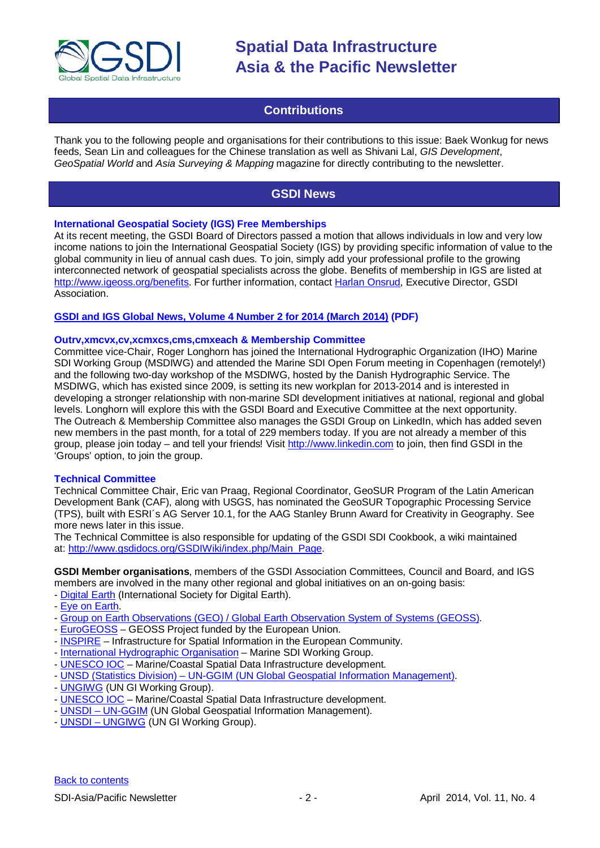

# **Contributions**

<span id="page-1-0"></span>Thank you to the following people and organisations for their contributions to this issue: Baek Wonkug for news feeds, Sean Lin and colleagues for the Chinese translation as well as Shivani Lal, *GIS Development*, *GeoSpatial World* and *Asia Surveying & Mapping* magazine for directly contributing to the newsletter.

# **GSDI News**

# <span id="page-1-1"></span>**International Geospatial Society (IGS) Free Memberships**

At its recent meeting, the GSDI Board of Directors passed a motion that allows individuals in low and very low income nations to join the International Geospatial Society (IGS) by providing specific information of value to the global community in lieu of annual cash dues. To join, simply add your professional profile to the growing interconnected network of geospatial specialists across the globe. Benefits of membership in IGS are listed at [http://www.igeoss.org/benefits.](https://owa.unimelb.edu.au/owa/redir.aspx?C=54c2b4d3973d480282dc7c38384f4204&URL=http%3a%2f%2fwww.igeoss.org%2fbenefits) For further information, contact [Harlan Onsrud,](mailto:onsrud@gsdi.org) Executive Director, GSDI Association.

# **[GSDI and IGS Global News, Volume 4 Number 2](http://www.gsdi.org/newsletters#GSDI) for 2014 (March 2014) (PDF)**

### **Outrv,xmcvx,cv,xcmxcs,cms,cmxeach & Membership Committee**

Committee vice-Chair, Roger Longhorn has joined the International Hydrographic Organization (IHO) Marine SDI Working Group (MSDIWG) and attended the Marine SDI Open Forum meeting in Copenhagen (remotely!) and the following two-day workshop of the MSDIWG, hosted by the Danish Hydrographic Service. The MSDIWG, which has existed since 2009, is setting its new workplan for 2013-2014 and is interested in developing a stronger relationship with non-marine SDI development initiatives at national, regional and global levels. Longhorn will explore this with the GSDI Board and Executive Committee at the next opportunity. The Outreach & Membership Committee also manages the GSDI Group on LinkedIn, which has added seven new members in the past month, for a total of 229 members today. If you are not already a member of this group, please join today – and tell your friends! Visit [http://www.linkedin.com](https://owa.unimelb.edu.au/owa/redir.aspx?C=rDg2dzQe3UKfwin28aspI4dcf2EJ4c8IKc_jDEPg91nlCdVQBzUX28or6ioXGu07OXWheK19Jyk.&URL=http%3a%2f%2fwww.linkedin.com) to join, then find GSDI in the 'Groups' option, to join the group.

### **Technical Committee**

Technical Committee Chair, Eric van Praag, Regional Coordinator, GeoSUR Program of the Latin American Development Bank (CAF), along with USGS, has nominated the GeoSUR Topographic Processing Service (TPS), built with ESRI´s AG Server 10.1, for the AAG Stanley Brunn Award for Creativity in Geography. See more news later in this issue.

The Technical Committee is also responsible for updating of the GSDI SDI Cookbook, a wiki maintained at: [http://www.gsdidocs.org/GSDIWiki/index.php/Main\\_Page.](https://owa.unimelb.edu.au/owa/redir.aspx?C=rDg2dzQe3UKfwin28aspI4dcf2EJ4c8IKc_jDEPg91nlCdVQBzUX28or6ioXGu07OXWheK19Jyk.&URL=http%3a%2f%2fwww.gsdidocs.org%2fGSDIWiki%2findex.php%2fMain_Page)

**GSDI Member organisations**, members of the GSDI Association Committees, Council and Board, and IGS members are involved in the many other regional and global initiatives on an on-going basis: - [Digital Earth](http://www.digitalearth-isde.org/) (International Society for Digital Earth).

- [Eye on Earth.](http://www.eyeonearth.org/)
- [Group on Earth Observations \(GEO\) / Global Earth Observation System of Systems \(GEOSS\).](http://www.earthobservations.org/)
- [EuroGEOSS](http://www.eurogeoss.eu/default.aspx) GEOSS Project funded by the European Union.
- [INSPIRE](http://www.inspire.jrc.ec.europa.eu/) Infrastructure for Spatial Information in the European Community.
- [International Hydrographic Organisation](http://www.iho.int/) Marine SDI Working Group.
- [UNESCO IOC](http://www.iode.org/) Marine/Coastal Spatial Data Infrastructure development.
- UNSD (Statistics Division) [UN-GGIM \(UN Global Geospatial Information Management\).](http://www.ggim.un.org/)
- [UNGIWG](http://www.ungiwg.org/) (UN GI Working Group).
- [UNESCO IOC](http://www.iode.org/) Marine/Coastal Spatial Data Infrastructure development.
- UNSDI [UN-GGIM](http://www.ggim.un.org/) (UN Global Geospatial Information Management).
- UNSDI [UNGIWG](http://www.ungiwg.org/) (UN GI Working Group).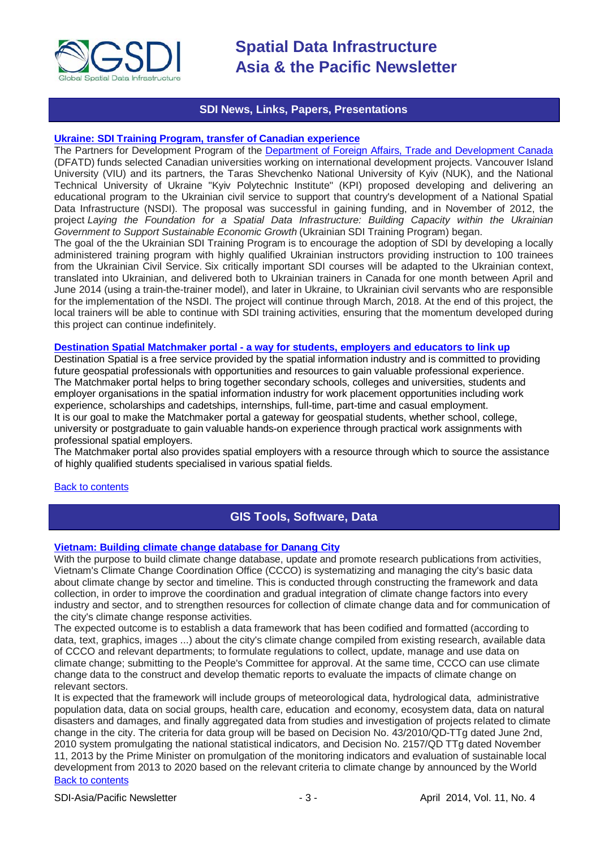

# **SDI News, Links, Papers, Presentations**

# <span id="page-2-0"></span>**[Ukraine: SDI Training Program, transfer of Canadian experience](http://www.viu.ca/sdi/UKROVR.asp)**

The Partners for Development Program of the [Department of Foreign Affairs, Trade and Development Canada](http://www.acdi-cida.gc.ca/cidaweb/cpo.nsf/vWebCSAZEn/5F015448EAF8D91985257ABE003B1E0E) (DFATD) funds selected Canadian universities working on international development projects. Vancouver Island University (VIU) and its partners, the Taras Shevchenko National University of Kyiv (NUK), and the National Technical University of Ukraine "Kyiv Polytechnic Institute" (KPI) proposed developing and delivering an educational program to the Ukrainian civil service to support that country's development of a National Spatial Data Infrastructure (NSDI). The proposal was successful in gaining funding, and in November of 2012, the project *Laying the Foundation for a Spatial Data Infrastructure: Building Capacity within the Ukrainian Government to Support Sustainable Economic Growth* (Ukrainian SDI Training Program) began.

The goal of the the Ukrainian SDI Training Program is to encourage the adoption of SDI by developing a locally administered training program with highly qualified Ukrainian instructors providing instruction to 100 trainees from the Ukrainian Civil Service. Six critically important SDI courses will be adapted to the Ukrainian context, translated into Ukrainian, and delivered both to Ukrainian trainers in Canada for one month between April and June 2014 (using a train-the-trainer model), and later in Ukraine, to Ukrainian civil servants who are responsible for the implementation of the NSDI. The project will continue through March, 2018. At the end of this project, the local trainers will be able to continue with SDI training activities, ensuring that the momentum developed during this project can continue indefinitely.

### **Destination Spatial Matchmaker portal - [a way for students, employers and educators to link up](http://www.destinationspatial-matchmaker.org/index.htm)**

Destination Spatial is a free service provided by the spatial information industry and is committed to providing future geospatial professionals with opportunities and resources to gain valuable professional experience. The Matchmaker portal helps to bring together secondary schools, colleges and universities, students and employer organisations in the spatial information industry for work placement opportunities including work experience, scholarships and cadetships, internships, full-time, part-time and casual employment. It is our goal to make the Matchmaker portal a gateway for geospatial students, whether school, college, university or postgraduate to gain valuable hands-on experience through practical work assignments with professional spatial employers.

The Matchmaker portal also provides spatial employers with a resource through which to source the assistance of highly qualified students specialised in various spatial fields.

### <span id="page-2-1"></span>[Back to contents](#page-0-0)

# **GIS Tools, Software, Data**

### **[Vietnam: Building climate change database for Danang City](http://ccco.danang.gov.vn/106_117_1018/Building_climate_change_database_for_Danang_City.aspx)**

With the purpose to build climate change database, update and promote research publications from activities, Vietnam's Climate Change Coordination Office (CCCO) is systematizing and managing the city's basic data about climate change by sector and timeline. This is conducted through constructing the framework and data collection, in order to improve the coordination and gradual integration of climate change factors into every industry and sector, and to strengthen resources for collection of climate change data and for communication of the city's climate change response activities.

The expected outcome is to establish a data framework that has been codified and formatted (according to data, text, graphics, images ...) about the city's climate change compiled from existing research, available data of CCCO and relevant departments; to formulate regulations to collect, update, manage and use data on climate change; submitting to the People's Committee for approval. At the same time, CCCO can use climate change data to the construct and develop thematic reports to evaluate the impacts of climate change on relevant sectors.

[Back to contents](#page-0-0) It is expected that the framework will include groups of meteorological data, hydrological data, administrative population data, data on social groups, health care, education and economy, ecosystem data, data on natural disasters and damages, and finally aggregated data from studies and investigation of projects related to climate change in the city. The criteria for data group will be based on Decision No. 43/2010/QD-TTg dated June 2nd, 2010 system promulgating the national statistical indicators, and Decision No. 2157/QD TTg dated November 11, 2013 by the Prime Minister on promulgation of the monitoring indicators and evaluation of sustainable local development from 2013 to 2020 based on the relevant criteria to climate change by announced by the World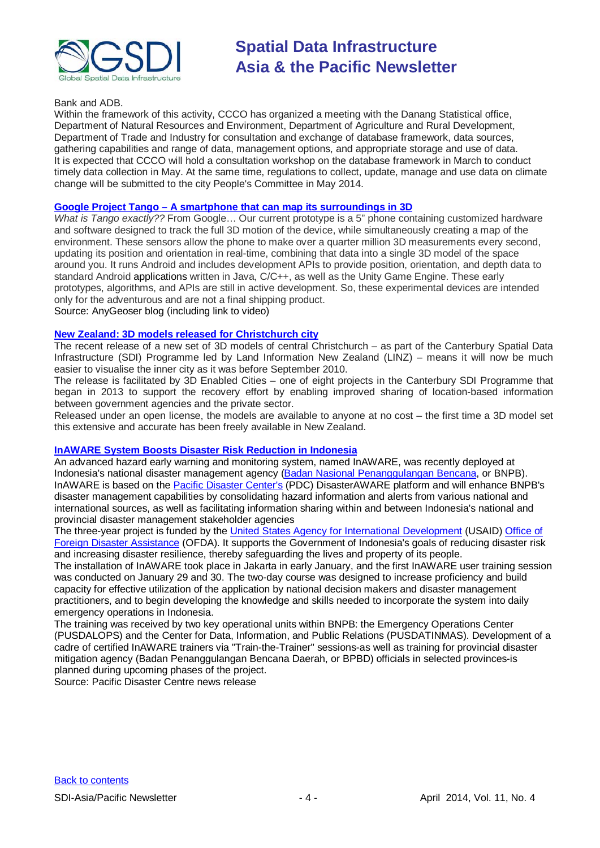

# Bank and ADB.

Within the framework of this activity, CCCO has organized a meeting with the Danang Statistical office, Department of Natural Resources and Environment, Department of Agriculture and Rural Development, Department of Trade and Industry for consultation and exchange of database framework, data sources, gathering capabilities and range of data, management options, and appropriate storage and use of data. It is expected that CCCO will hold a consultation workshop on the database framework in March to conduct timely data collection in May. At the same time, regulations to collect, update, manage and use data on climate change will be submitted to the city People's Committee in May 2014.

# **Google Project Tango – [A smartphone that can map its surroundings in 3D](http://blog.gisuser.com/2014/02/27/video-what-is-googles-project-tango/)**

*What is Tango exactly??* From Google… Our current prototype is a 5" phone containing customized hardware and software designed to track the full 3D motion of the device, while simultaneously creating a map of the environment. These sensors allow the phone to make over a quarter million 3D measurements every second, updating its position and orientation in real-time, combining that data into a single 3D model of the space around you. It runs Android and includes development APIs to provide position, orientation, and depth data to standard Android [applications](http://blog.gisuser.com/2014/02/27/video-what-is-googles-project-tango/) written in Java, C/C++, as well as the Unity Game Engine. These early prototypes, algorithms, and APIs are still in active development. So, these experimental devices are intended only for the adventurous and are not a final shipping product.

Source: AnyGeoser blog (including link to video)

# **[New Zealand: 3D models released for Christchurch city](http://www.linz.govt.nz/about-linz/news-publications-and-consultations/news-and-notices/3d-models-released-for-christchurch-city)**

The recent release of a new set of 3D models of central Christchurch – as part of the Canterbury Spatial Data Infrastructure (SDI) Programme led by Land Information New Zealand (LINZ) – means it will now be much easier to visualise the inner city as it was before September 2010.

The release is facilitated by 3D Enabled Cities – one of eight projects in the Canterbury SDI Programme that began in 2013 to support the recovery effort by enabling improved sharing of location-based information between government agencies and the private sector.

Released under an open license, the models are available to anyone at no cost – the first time a 3D model set this extensive and accurate has been freely available in New Zealand.

# **[InAWARE System Boosts Disaster Risk Reduction in Indonesia](http://www.pdc.org/news-n-media/pdc-updates/InAWARE-System-Boosts-Disaster-Risk-Reduction-in-Indonesia/)**

An advanced hazard early warning and monitoring system, named InAWARE, was recently deployed at Indonesia's national disaster management agency [\(Badan Nasional Penanggulangan Bencana,](http://www.bnpb.go.id/) or BNPB). InAWARE is based on the [Pacific Disaster Center's](http://www.pdc.org/) (PDC) DisasterAWARE platform and will enhance BNPB's disaster management capabilities by consolidating hazard information and alerts from various national and international sources, as well as facilitating information sharing within and between Indonesia's national and provincial disaster management stakeholder agencies

The three-year project is funded by the [United States Agency for International Development](http://www.usaid.gov/) (USAID) [Office of](http://www.usaid.gov/who-we-are/organization/bureaus/bureau-democracy-conflict-and-humanitarian-assistance/office-us)  [Foreign Disaster Assistance](http://www.usaid.gov/who-we-are/organization/bureaus/bureau-democracy-conflict-and-humanitarian-assistance/office-us) (OFDA). It supports the Government of Indonesia's goals of reducing disaster risk and increasing disaster resilience, thereby safeguarding the lives and property of its people.

The installation of InAWARE took place in Jakarta in early January, and the first InAWARE user training session was conducted on January 29 and 30. The two-day course was designed to increase proficiency and build capacity for effective utilization of the application by national decision makers and disaster management practitioners, and to begin developing the knowledge and skills needed to incorporate the system into daily emergency operations in Indonesia.

The training was received by two key operational units within BNPB: the Emergency Operations Center (PUSDALOPS) and the Center for Data, Information, and Public Relations (PUSDATINMAS). Development of a cadre of certified InAWARE trainers via "Train-the-Trainer" sessions-as well as training for provincial disaster mitigation agency (Badan Penanggulangan Bencana Daerah, or BPBD) officials in selected provinces-is planned during upcoming phases of the project.

Source: Pacific Disaster Centre news release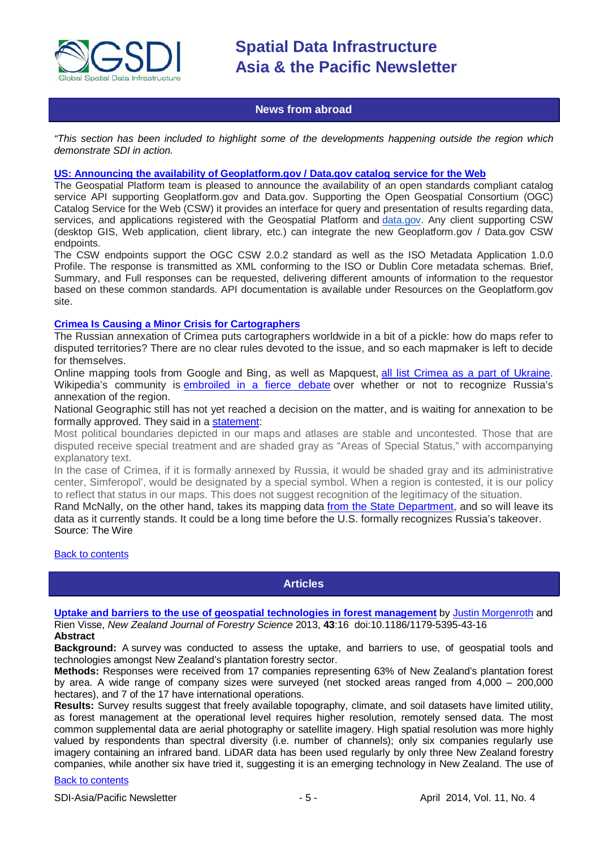

# **News from abroad**

<span id="page-4-0"></span>*"This section has been included to highlight some of the developments happening outside the region which demonstrate SDI in action.*

### **[US: Announcing the availability of Geoplatform.gov / Data.gov catalog service for the Web](http://www.fgdc.gov/fgdc-news/geospatial-platform-catalog-api)**

The Geospatial Platform team is pleased to announce the availability of an open standards compliant catalog service API supporting Geoplatform.gov and Data.gov. Supporting the Open Geospatial Consortium (OGC) Catalog Service for the Web (CSW) it provides an interface for query and presentation of results regarding data, services, and applications registered with the Geospatial Platform and [data.gov.](http://data.gov/) Any client supporting CSW (desktop GIS, Web application, client library, etc.) can integrate the new Geoplatform.gov / Data.gov CSW endpoints.

The CSW endpoints support the OGC CSW 2.0.2 standard as well as the ISO Metadata Application 1.0.0 Profile. The response is transmitted as XML conforming to the ISO or Dublin Core metadata schemas. Brief, Summary, and Full responses can be requested, delivering different amounts of information to the requestor based on these common standards. API documentation is available under Resources on the Geoplatform.gov site.

### **[Crimea Is Causing a Minor Crisis for Cartographers](http://www.thewire.com/global/2014/03/crimea-causing-minor-crisis-cartographers/359364/)**

The Russian annexation of Crimea puts cartographers worldwide in a bit of a pickle: how do maps refer to disputed territories? There are no clear rules devoted to the issue, and so each mapmaker is left to decide for themselves.

Online mapping tools from Google and Bing, as well as Mapquest, [all list Crimea as a part of Ukraine.](http://mashable.com/2014/03/19/cartographers-map-crimea/) Wikipedia's community is [embroiled in a fierce debate](http://www.nationaljournal.com/tech/should-wikipedia-put-crimea-on-the-russian-map-20140319) over whether or not to recognize Russia's annexation of the region.

National Geographic still has not yet reached a decision on the matter, and is waiting for annexation to be formally approved. They said in a [statement:](http://press.nationalgeographic.com/2014/03/19/statement-regarding-the-mapping-of-crimea/)

Most political boundaries depicted in our maps and atlases are stable and uncontested. Those that are disputed receive special treatment and are shaded gray as "Areas of Special Status," with accompanying explanatory text.

In the case of Crimea, if it is formally annexed by Russia, it would be shaded gray and its administrative center, Simferopol', would be designated by a special symbol. When a region is contested, it is our policy to reflect that status in our maps. This does not suggest recognition of the legitimacy of the situation.

Rand McNally, on the other hand, takes its mapping data [from the State Department,](http://www.usnews.com/news/blogs/washington-whispers/2014/03/18/national-geographic-plans-to-show-crimea-as-part-of-russia-on-maps) and so will leave its data as it currently stands. It could be a long time before the U.S. formally recognizes Russia's takeover. Source: The Wire

### <span id="page-4-1"></span>[Back to contents](#page-0-0)

# **Articles**

**[Uptake and barriers to the use of geospatial technologies in forest management](http://www.nzjforestryscience.com/content/43/1/16)** by Justin [Morgenroth](mailto:justin.morgenroth@canterbury.ac.nz) and Rien Visse, *New Zealand Journal of Forestry Science* 2013, **43**:16 doi:10.1186/1179-5395-43-16

# **Abstract**

**Background:** A survey was conducted to assess the uptake, and barriers to use, of geospatial tools and technologies amongst New Zealand's plantation forestry sector.

**Methods:** Responses were received from 17 companies representing 63% of New Zealand's plantation forest by area. A wide range of company sizes were surveyed (net stocked areas ranged from 4,000 – 200,000 hectares), and 7 of the 17 have international operations.

**Results:** Survey results suggest that freely available topography, climate, and soil datasets have limited utility, as forest management at the operational level requires higher resolution, remotely sensed data. The most common supplemental data are aerial photography or satellite imagery. High spatial resolution was more highly valued by respondents than spectral diversity (i.e. number of channels); only six companies regularly use imagery containing an infrared band. LiDAR data has been used regularly by only three New Zealand forestry companies, while another six have tried it, suggesting it is an emerging technology in New Zealand. The use of

# [Back to contents](#page-0-0)

SDI-Asia/Pacific Newsletter - 5 - April 2014, Vol. 11, No. 4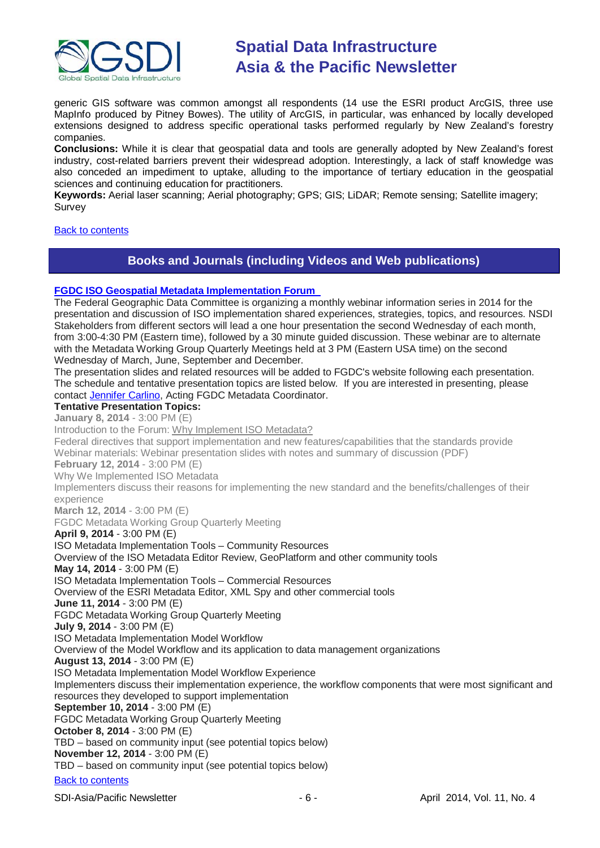

generic GIS software was common amongst all respondents (14 use the ESRI product ArcGIS, three use MapInfo produced by Pitney Bowes). The utility of ArcGIS, in particular, was enhanced by locally developed extensions designed to address specific operational tasks performed regularly by New Zealand's forestry companies.

**Conclusions:** While it is clear that geospatial data and tools are generally adopted by New Zealand's forest industry, cost-related barriers prevent their widespread adoption. Interestingly, a lack of staff knowledge was also conceded an impediment to uptake, alluding to the importance of tertiary education in the geospatial sciences and continuing education for practitioners.

**Keywords:** Aerial laser scanning; Aerial photography; GPS; GIS; LiDAR; Remote sensing; Satellite imagery; Survey

### <span id="page-5-0"></span>[Back to contents](#page-0-0)

# **Books and Journals (including Videos and Web publications)**

### **[FGDC ISO Geospatial Metadata Implementation Forum](http://www.fgdc.gov/metadata/events/iso-geospatial-metadata-implementation-forum/index_html)**

[Back to contents](#page-0-0) The Federal Geographic Data Committee is organizing a monthly webinar information series in 2014 for the presentation and discussion of ISO implementation shared experiences, strategies, topics, and resources. NSDI Stakeholders from different sectors will lead a one hour presentation the second Wednesday of each month, from 3:00-4:30 PM (Eastern time), followed by a 30 minute guided discussion. These webinar are to alternate with the Metadata Working Group Quarterly Meetings held at 3 PM (Eastern USA time) on the second Wednesday of March, June, September and December. The presentation slides and related resources will be added to FGDC's website following each presentation. The schedule and tentative presentation topics are listed below. If you are interested in presenting, please contact [Jennifer Carlino,](mailto:jcarlino@usgs.gov) Acting FGDC Metadata Coordinator. **Tentative Presentation Topics: January 8, 2014** - 3:00 PM (E) Introduction to the Forum: [Why Implement ISO Metadata?](http://www.fgdc.gov/metadata/events/iso-geospatial-metadata-implementation-forum/january-2014/fgdcisoforum-welcome-why-iso-summary-20140108.pdf) Federal directives that support implementation and new features/capabilities that the standards provide Webinar materials: Webinar presentation slides with notes and summary of discussion (PDF) **February 12, 2014** - 3:00 PM (E) Why We Implemented ISO Metadata Implementers discuss their reasons for implementing the new standard and the benefits/challenges of their experience **March 12, 2014** - 3:00 PM (E) FGDC Metadata Working Group Quarterly Meeting **April 9, 2014** - 3:00 PM (E) ISO Metadata Implementation Tools – Community Resources Overview of the ISO Metadata Editor Review, GeoPlatform and other community tools **May 14, 2014** - 3:00 PM (E) ISO Metadata Implementation Tools – Commercial Resources Overview of the ESRI Metadata Editor, XML Spy and other commercial tools **June 11, 2014** - 3:00 PM (E) FGDC Metadata Working Group Quarterly Meeting **July 9, 2014** - 3:00 PM (E) ISO Metadata Implementation Model Workflow Overview of the Model Workflow and its application to data management organizations **August 13, 2014** - 3:00 PM (E) ISO Metadata Implementation Model Workflow Experience Implementers discuss their implementation experience, the workflow components that were most significant and resources they developed to support implementation **September 10, 2014** - 3:00 PM (E) FGDC Metadata Working Group Quarterly Meeting **October 8, 2014** - 3:00 PM (E) TBD – based on community input (see potential topics below) **November 12, 2014** - 3:00 PM (E) TBD – based on community input (see potential topics below)

SDI-Asia/Pacific Newsletter  $\overline{6}$  - 6 - April 2014, Vol. 11, No. 4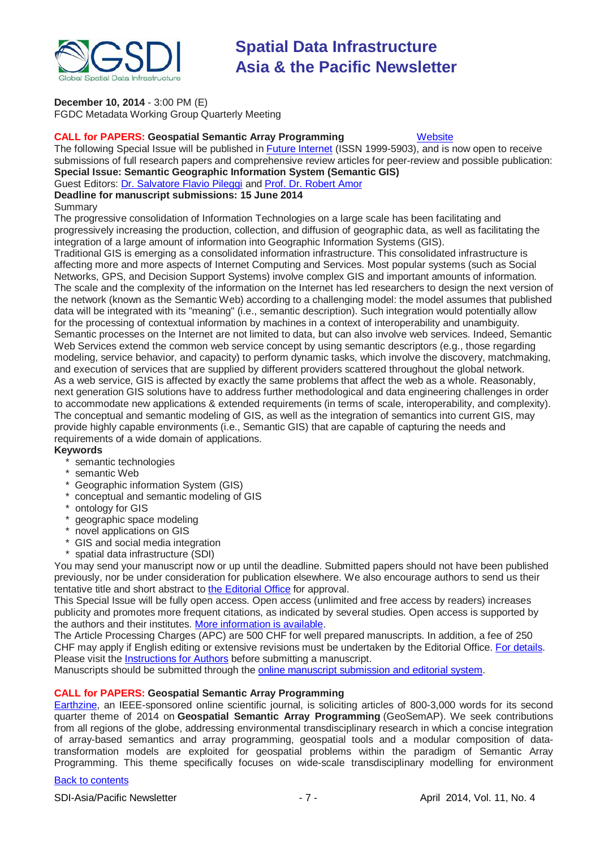

**December 10, 2014** - 3:00 PM (E)

FGDC Metadata Working Group Quarterly Meeting

# **CALL for PAPERS: Geospatial Semantic Array Programming** [Website](http://www.mdpi.com/si/futureinternet/GIS/)

The following Special Issue will be published in **Future Internet** (ISSN 1999-5903), and is now open to receive submissions of full research papers and comprehensive review articles for peer-review and possible publication: **Special Issue: Semantic Geographic Information System (Semantic GIS)**

Guest Editors: [Dr. Salvatore Flavio Pileggi](mailto:f.pileggi@auckland.ac.nz) and [Prof. Dr. Robert Amor](mailto:trebor@cs.auckland.ac.nz)

# **Deadline for manuscript submissions: 15 June 2014**

# Summary

The progressive consolidation of Information Technologies on a large scale has been facilitating and progressively increasing the production, collection, and diffusion of geographic data, as well as facilitating the integration of a large amount of information into Geographic Information Systems (GIS).

Traditional GIS is emerging as a consolidated information infrastructure. This consolidated infrastructure is affecting more and more aspects of Internet Computing and Services. Most popular systems (such as Social Networks, GPS, and Decision Support Systems) involve complex GIS and important amounts of information. The scale and the complexity of the information on the Internet has led researchers to design the next version of the network (known as the Semantic Web) according to a challenging model: the model assumes that published data will be integrated with its "meaning" (i.e., semantic description). Such integration would potentially allow for the processing of contextual information by machines in a context of interoperability and unambiguity. Semantic processes on the Internet are not limited to data, but can also involve web services. Indeed, Semantic Web Services extend the common web service concept by using semantic descriptors (e.g., those regarding modeling, service behavior, and capacity) to perform dynamic tasks, which involve the discovery, matchmaking, and execution of services that are supplied by different providers scattered throughout the global network. As a web service, GIS is affected by exactly the same problems that affect the web as a whole. Reasonably, next generation GIS solutions have to address further methodological and data engineering challenges in order to accommodate new applications & extended requirements (in terms of scale, interoperability, and complexity). The conceptual and semantic modeling of GIS, as well as the integration of semantics into current GIS, may provide highly capable environments (i.e., Semantic GIS) that are capable of capturing the needs and requirements of a wide domain of applications.

# **Keywords**

- \* semantic technologies
- \* semantic Web
- Geographic information System (GIS)
- \* conceptual and semantic modeling of GIS
- \* ontology for GIS
- geographic space modeling
- novel applications on GIS
- GIS and social media integration
- spatial data infrastructure (SDI)

You may send your manuscript now or up until the deadline. Submitted papers should not have been published previously, nor be under consideration for publication elsewhere. We also encourage authors to send us their tentative title and short abstract t[o the Editorial Office](mailto:futureinternet@mdpi.com) for approval.

This Special Issue will be fully open access. Open access (unlimited and free access by readers) increases publicity and promotes more frequent citations, as indicated by several studies. Open access is supported by the authors and their institutes. [More information is available.](http://www.mdpi.com/about/openaccess/)

The Article Processing Charges (APC) are 500 CHF for well prepared manuscripts. In addition, a fee of 250 CHF may apply if English editing or extensive revisions must be undertaken by the Editorial Office. [For details.](http://www.mdpi.com/about/apc/) Please visit the [Instructions for Authors](http://www.mdpi.com/journal/futureinternet/instructions/) before submitting a manuscript.

Manuscripts should be submitted through the [online manuscript submission](http://www.mdpi.com/user/manuscripts/upload/) and editorial system.

# **CALL for PAPERS: Geospatial Semantic Array Programming**

[Earthzine,](http://www.earthzine.org/) an IEEE-sponsored online scientific journal, is soliciting articles of 800-3,000 words for its second quarter theme of 2014 on **Geospatial Semantic Array Programming** (GeoSemAP). We seek contributions from all regions of the globe, addressing environmental transdisciplinary research in which a concise integration of array-based semantics and array programming, geospatial tools and a modular composition of datatransformation models are exploited for geospatial problems within the paradigm of Semantic Array Programming. This theme specifically focuses on wide-scale transdisciplinary modelling for environment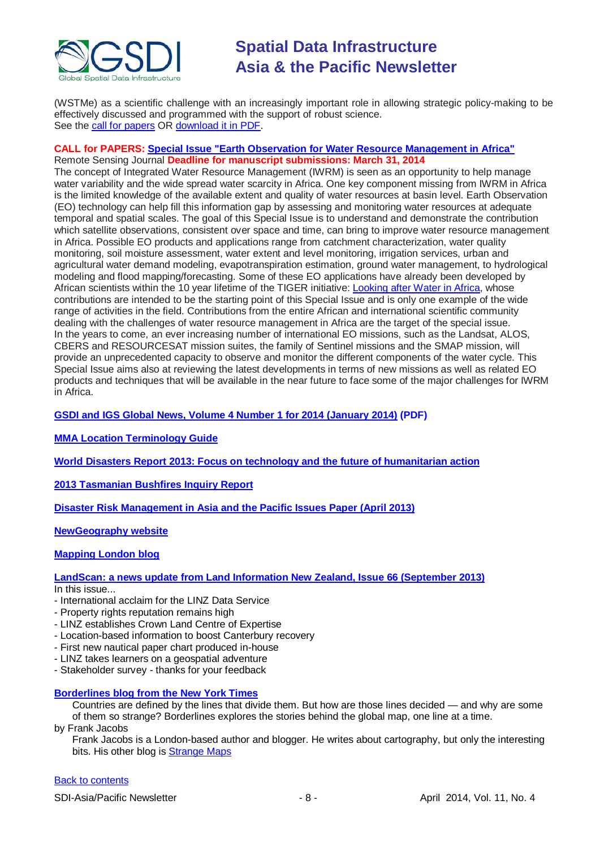

(WSTMe) as a scientific challenge with an increasingly important role in allowing strategic policy-making to be effectively discussed and programmed with the support of robust science. See the [call for papers](http://www.earthzine.org/2013/12/18/call-for-papers-geospatial-semantic-array-programming/) OR [download it in PDF.](http://www.earthzine.org/wp-content/uploads/2013/12/Call-For-Papers-GeoSemAP.pdf)

#### **CALL for PAPERS: [Special Issue "Earth Observation for Water Resource Management in Africa"](http://www.mdpi.com/journal/remotesensing/special_issues/water_management_in_africa)** Remote Sensing Journal **Deadline for manuscript submissions: March 31, 2014**

The concept of Integrated Water Resource Management (IWRM) is seen as an opportunity to help manage water variability and the wide spread water scarcity in Africa. One key component missing from IWRM in Africa is the limited knowledge of the available extent and quality of water resources at basin level. Earth Observation (EO) technology can help fill this information gap by assessing and monitoring water resources at adequate temporal and spatial scales. The goal of this Special Issue is to understand and demonstrate the contribution which satellite observations, consistent over space and time, can bring to improve water resource management in Africa. Possible EO products and applications range from catchment characterization, water quality monitoring, soil moisture assessment, water extent and level monitoring, irrigation services, urban and agricultural water demand modeling, evapotranspiration estimation, ground water management, to hydrological modeling and flood mapping/forecasting. Some of these EO applications have already been developed by African scientists within the 10 year lifetime of the TIGER initiative: [Looking after Water in Africa,](http://www.tiger.esa.int/) whose contributions are intended to be the starting point of this Special Issue and is only one example of the wide range of activities in the field. Contributions from the entire African and international scientific community dealing with the challenges of water resource management in Africa are the target of the special issue. In the years to come, an ever increasing number of international EO missions, such as the Landsat, ALOS, CBERS and RESOURCESAT mission suites, the family of Sentinel missions and the SMAP mission, will provide an unprecedented capacity to observe and monitor the different components of the water cycle. This Special Issue aims also at reviewing the latest developments in terms of new missions as well as related EO products and techniques that will be available in the near future to face some of the major challenges for IWRM in Africa.

**[GSDI and IGS Global News, Volume 4 Number 1 for 2014 \(January 2014\)](http://www.gsdi.org/newsletters#GSDI) (PDF)**

**[MMA Location Terminology Guide](http://www.mmaglobal.com/location-terminology-guide)**

**[World Disasters Report 2013: Focus on technology and the future of humanitarian action](http://www.ifrc.org/PageFiles/134658/WDR%202013%20complete.pdf)**

**[2013 Tasmanian Bushfires Inquiry Report](http://www.dpac.tas.gov.au/divisions/osem/2013_tasmanian_bushfires_inquiry_report/2013_tasmanian_bushfires_inquiry_report)**

**[Disaster Risk Management in Asia and the Pacific Issues Paper \(April 2013\)](http://www.pacificdisaster.net/pdnadmin/data/original/ADB_2013_DRM_Asia_Pacific.pdf)**

**[NewGeography website](http://www.newgeography.com/)**

# **[Mapping London blog](http://mappinglondon.co.uk/)**

**[LandScan: a news update from Land Information New Zealand, Issue 66](http://www.linz.govt.nz/sites/default/files/docs/supporting-info/about-linz/publications/landscan-201303.pdf) (September 2013)** In this issue...

- International acclaim for the LINZ Data Service
- Property rights reputation remains high
- LINZ establishes Crown Land Centre of Expertise
- Location-based information to boost Canterbury recovery
- First new nautical paper chart produced in-house
- LINZ takes learners on a geospatial adventure
- Stakeholder survey thanks for your feedback

### **[Borderlines blog from the New York Times](http://opinionator.blogs.nytimes.com/category/borderlines/)**

Countries are defined by the lines that divide them. But how are those lines decided — and why are some of them so strange? Borderlines explores the stories behind the global map, one line at a time. by Frank Jacobs

Frank Jacobs is a London-based author and blogger. He writes about cartography, but only the interesting bits. His other blog is [Strange Maps](http://bigthink.com/blogs/strange-maps)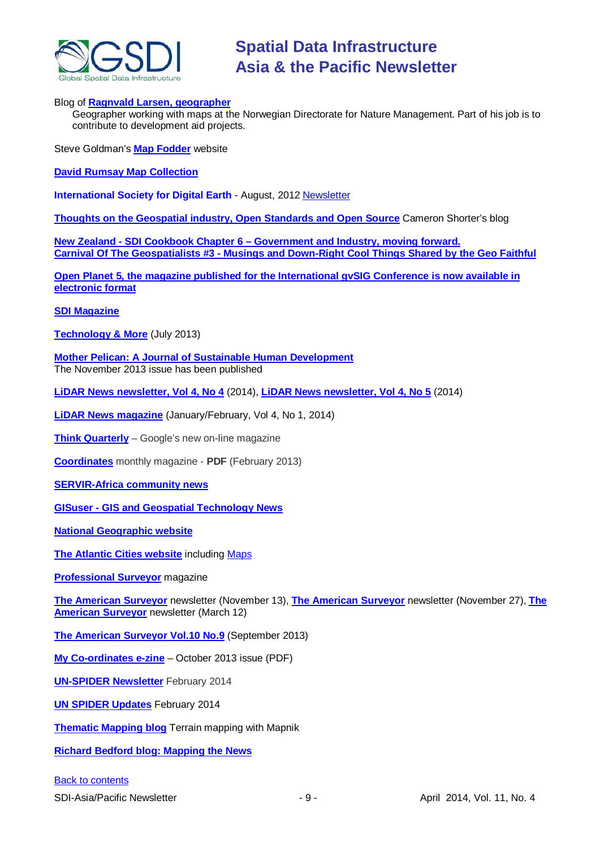

# Blog of **[Ragnvald Larsen, geographer](http://www.mindland.com/wp/)**

Geographer working with maps at the Norwegian Directorate for Nature Management. Part of his job is to contribute to development aid projects.

Steve Goldman's **[Map Fodder](http://www.mapfodder.com/index.html)** website

**[David Rumsay Map Collection](http://www.davidrumsey.com/)**

**International Society for Digital Earth** - August, 2012 [Newsletter](http://www.digitalearth-isde.org/news/isde-newsletter(201208).html)

**[Thoughts on the Geospatial industry, Open Standards and Open Source](http://cameronshorter.blogspot.com/2011/06/memoirs-of-cat-herder-coordinating.html)** Cameron Shorter's blog

**New Zealand - SDI Cookbook Chapter 6 – [Government and Industry, moving forward.](http://www.geospatial.govt.nz/sdi-cookbook-chapter-6-government-and-industry-moving-forward) Carnival Of The Geospatialists #3 - [Musings and Down-Right Cool Things Shared by the Geo Faithful](http://www.gisuser.com/content/view/25690/28/)**

**[Open Planet 5, the magazine published for the International gvSIG Conference is now available in](http://jornadas.gvsig.org/descargas/magazine)  [electronic format](http://jornadas.gvsig.org/descargas/magazine)**

### **[SDI Magazine](http://www.sdimag.com/)**

**[Technology & More](http://www.trimble.com/technologyandmore/i2-2013/)** (July 2013)

**[Mother Pelican: A Journal of Sustainable Human Development](http://www.pelicanweb.org/solisustv09n11page1.html)** The November 2013 issue has been published

**LiDAR News [newsletter, Vol 4, No 4](http://www.lidarnews.com/newsletter/Vol4No4.htm)** (2014), **[LiDAR News newsletter, Vol 4, No 5](http://www.lidarnews.com/newsletter/Vol4No5.htm)** (2014)

**[LiDAR News magazine](http://lidarnews.com/emag/2014/vol4no1/index.html)** (January/February, Vol 4, No 1, 2014)

**[Think Quarterly](http://thinkquarterly.co.uk/#aboutthebook)** – Google's new on-line magazine

**[Coordinates](http://mycoordinates.org/pdf/feb13.pdf)** monthly magazine - **PDF** (February 2013)

**[SERVIR-Africa community news](http://www.servirglobal.net/africa/en/News/CommunityNews.aspx)**

**GISuser - [GIS and Geospatial Technology News](http://www.gisuser.com/)**

**[National Geographic website](http://www.nationalgeographic.com/)**

**[The Atlantic Cities website](http://www.theatlanticcities.com/)** including [Maps](http://www.theatlanticcities.com/posts/map/)

**[Professional Surveyor](http://www.profsurv.com/)** magazine

**[The American Surveyor](http://www.amerisurv.com/newsletter/13NOV2013.htm)** newsletter (November 13), **[The American Surveyor](http://www.amerisurv.com/newsletter/27NOV2013.htm)** newsletter (November 27), **[The](http://www.amerisurv.com/newsletter/12MAR2014.htm)  [American Surveyor](http://www.amerisurv.com/newsletter/12MAR2014.htm)** newsletter (March 12)

**[The American Surveyor Vol.10 No.9](http://amerisurv.com/emag/2013/vol10no9/index.html)** (September 2013)

**[My Co-ordinates e-zine](http://mycoordinates.org/pdf/oct13.pdf)** – October 2013 issue (PDF)

**[UN-SPIDER](http://www.un-spider.org/about/newsletter/un-spider-newsletter-114-space-technologies-united-nations) Newsletter** February 2014

**[UN SPIDER Updates](http://www.un-spider.org/about/updates/un-spider-updates-february-2014)** February 2014

**[Thematic Mapping blog](http://blog.thematicmapping.org/)** Terrain mapping with Mapnik

**[Richard Bedford blog: Mapping the News](http://richybedford.wordpress.com/category/mapping-the-news/)**

### [Back to contents](#page-0-0)

SDI-Asia/Pacific Newsletter 1999 - 9 - 1999 - 11, No. 4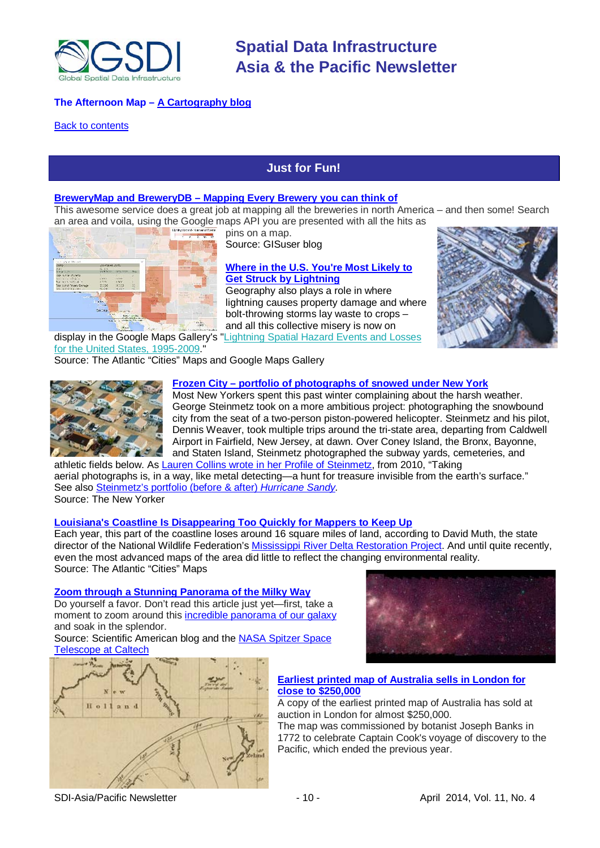

# **The Afternoon Map – [A Cartography blog](http://www.midafternoonmap.com/)**

<span id="page-9-0"></span>**[Back to contents](#page-0-0)** 

# **Just for Fun!**

# **BreweryMap and BreweryDB – [Mapping Every Brewery you can think of](http://blog.gisuser.com/2014/03/11/brewerymap-mapping-every-brewery-you-can-think-of-and-then-some/)**

This awesome service does a great job at mapping all the breweries in north America – and then some! Search an area and voila, using the Google maps API you are presented with all the hits as



pins on a map. Source: GISuser blog

# **[Where in the U.S. You're Most Likely to](http://www.theatlanticcities.com/neighborhoods/2014/02/mapping-americas-lightning-caused-misery/8524/)  [Get Struck by Lightning](http://www.theatlanticcities.com/neighborhoods/2014/02/mapping-americas-lightning-caused-misery/8524/)**

Geography also plays a role in where lightning causes property damage and where bolt-throwing storms lay waste to crops – and all this collective misery is now on

display in the Google Maps Gallery's ["Lightning Spatial Hazard Events and Losses](http://maps.google.com/gallery/details?id=z4f-ZuCLmiKg.k5QgnA8lQKYM&hl=en) 



[for the United States, 1995-2009.](http://maps.google.com/gallery/details?id=z4f-ZuCLmiKg.k5QgnA8lQKYM&hl=en)"

Source: The Atlantic "Cities" Maps and Google Maps Gallery



# **Frozen City – [portfolio of photographs of snowed under New](http://www.newyorker.com/sandbox/portfolio/steinmetz-snow/?utm_source=tny&utm_medium=email&utm_campaign=dailyemail&mbid=nl_Daily%20(139)#10) York**

Most New Yorkers spent this past winter complaining about the harsh weather. George Steinmetz took on a more ambitious project: photographing the snowbound city from the seat of a two-person piston-powered helicopter. Steinmetz and his pilot, Dennis Weaver, took multiple trips around the tri-state area, departing from Caldwell Airport in Fairfield, New Jersey, at dawn. Over Coney Island, the Bronx, Bayonne, and Staten Island, Steinmetz photographed the subway yards, cemeteries, and

athletic fields below. As Lauren Collins wrote in her Profile of [Steinmetz,](http://www.newyorker.com/reporting/2010/04/19/100419fa_fact_collins) from 2010, "Taking aerial photographs is, in a way, like metal detecting—a hunt for treasure invisible from the earth's surface." See also [Steinmetz's portfolio \(before & after\)](http://www.newyorker.com/sandbox/multimedia/steinmetzsandy.html) *Hurricane Sandy.* Source: The New Yorker

### **[Louisiana's Coastline Is Disappearing Too Quickly for Mappers to Keep Up](http://www.theatlanticcities.com/technology/2014/03/louisianas-coastline-disappearing-too-quickly-mappers-keep/8544/)**

Each year, this part of the coastline loses around 16 square miles of land, according to David Muth, the state director of the National Wildlife Federation's [Mississippi River Delta Restoration Project.](http://www.nwf.org/what-we-do/protect-habitat/waters/mississippi-river-delta.aspx) And until quite recently, even the most advanced maps of the area did little to reflect the changing environmental reality. Source: The Atlantic "Cities" Maps

# **[Zoom through a Stunning Panorama of the Milky Way](http://blogs.scientificamerican.com/observations/2014/03/22/spitzer-glimpse-milky-way-panorama/)**

Do yourself a favor. Don't read this article just yet—first, take a moment to zoom around this [incredible panorama of our galaxy](http://www.spitzer.caltech.edu/glimpse360/aladin) and soak in the splendor.

Source: Scientific American blog and the NASA Spitzer Space [Telescope at Caltech](http://www.spitzer.caltech.edu/)





# **[Earliest printed map of Australia sells in London for](http://www.theguardian.com/world/2014/mar/28/earliest-printed-map-of-australia-sells-in-london-for-close-to-250000?CMP=ema_632)  [close to \\$250,000](http://www.theguardian.com/world/2014/mar/28/earliest-printed-map-of-australia-sells-in-london-for-close-to-250000?CMP=ema_632)**

A copy of the earliest printed map of Australia has sold at auction in London for almost \$250,000.

The map was commissioned by botanist Joseph Banks in 1772 to celebrate Captain Cook's voyage of discovery to the Pacific, which ended the previous year.

SDI-Asia/Pacific Newsletter 1992 - 10 - 10 - April 2014, Vol. 11, No. 4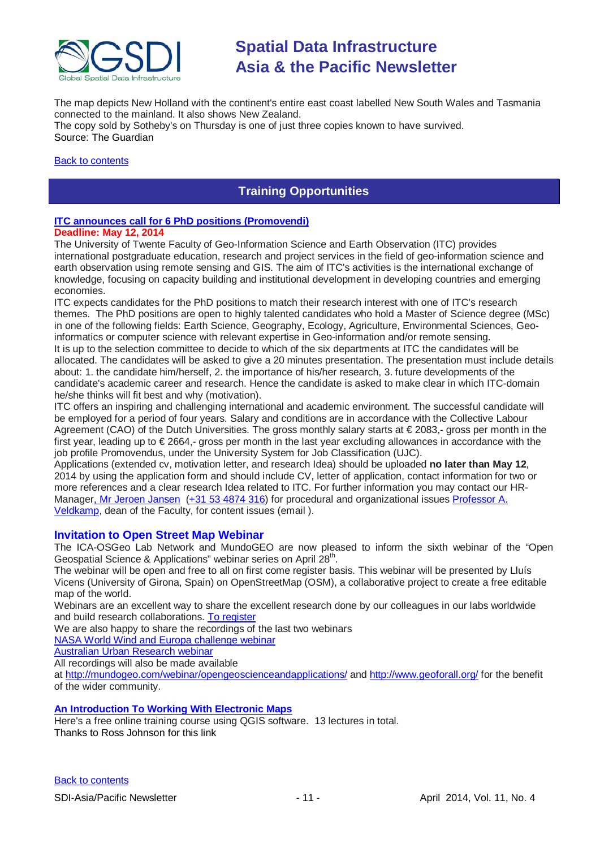

The map depicts New Holland with the continent's entire east coast labelled New South Wales and Tasmania connected to the mainland. It also shows New Zealand.

The copy sold by Sotheby's on Thursday is one of just three copies known to have survived. Source: The Guardian

# <span id="page-10-0"></span>[Back to contents](#page-0-0)

# **Training Opportunities**

#### **[ITC announces call for 6 PhD positions \(Promovendi\)](http://www.itc.nl/Pub/News-overview/in2014/in2014-march/6-PhD-positions-(promovendi).html) Deadline: May 12, 2014**

The University of Twente Faculty of Geo-Information Science and Earth Observation (ITC) provides international postgraduate education, research and project services in the field of geo-information science and earth observation using remote sensing and GIS. The aim of ITC's activities is the international exchange of knowledge, focusing on capacity building and institutional development in developing countries and emerging economies.

ITC expects candidates for the PhD positions to match their research interest with one of ITC's research themes. The PhD positions are open to highly talented candidates who hold a Master of Science degree (MSc) in one of the following fields: Earth Science, Geography, Ecology, Agriculture, Environmental Sciences, Geoinformatics or computer science with relevant expertise in Geo-information and/or remote sensing. It is up to the selection committee to decide to which of the six departments at ITC the candidates will be allocated. The candidates will be asked to give a 20 minutes presentation. The presentation must include details about: 1. the candidate him/herself, 2. the importance of his/her research, 3. future developments of the candidate's academic career and research. Hence the candidate is asked to make clear in which ITC-domain he/she thinks will fit best and why (motivation).

ITC offers an inspiring and challenging international and academic environment. The successful candidate will be employed for a period of four years. Salary and conditions are in accordance with the Collective Labour Agreement (CAO) of the Dutch Universities. The gross monthly salary starts at  $\epsilon$  2083,- gross per month in the first year, leading up to € 2664,- gross per month in the last year excluding allowances in accordance with the job profile Promovendus, under the University System for Job Classification (UJC).

Applications (extended cv, motivation letter, and research Idea) should be uploaded **no later than May 12**, 2014 by using the application form and should include CV, letter of application, contact information for two or more references and a clear research Idea related to ITC. For further information you may contact our HRManage[r, Mr Jeroen Jansen](mailto:jeroen.jansen@utwente.nl) [\(+31 53 4874](tel:%2B31%2053%204874%20316) 316) for procedural and organizational issues Professor A. [Veldkamp,](mailto:a.veldkamp@utwente.nl) dean of the Faculty, for content issues (email ).

# **Invitation to Open Street Map Webinar**

The ICA-OSGeo Lab Network and MundoGEO are now pleased to inform the sixth webinar of the "Open Geospatial Science & Applications" webinar series on April 28<sup>th</sup>.

The webinar will be open and free to all on first come register basis. This webinar will be presented by Lluís Vicens (University of Girona, Spain) on OpenStreetMap (OSM), a collaborative project to create a free editable map of the world.

Webinars are an excellent way to share the excellent research done by our colleagues in our labs worldwide and build research collaborations. [To register](https://www2.gotomeeting.com/register/307450018)

We are also happy to share the recordings of the last two webinars

[NASA World Wind and Europa challenge webinar](http://vimeo.com/mundogeo/nasa-world-wind)

[Australian Urban Research webinar](http://vimeo.com/mundogeo/aurin)

All recordings will also be made available

at <http://mundogeo.com/webinar/opengeoscienceandapplications/> and <http://www.geoforall.org/> for the benefit of the wider community.

# **[An Introduction To Working With Electronic Maps](https://www.udemy.com/an-introduction-to-working-with-electronic-maps/)**

Here's a free online training course using QGIS software. 13 lectures in total. Thanks to Ross Johnson for this link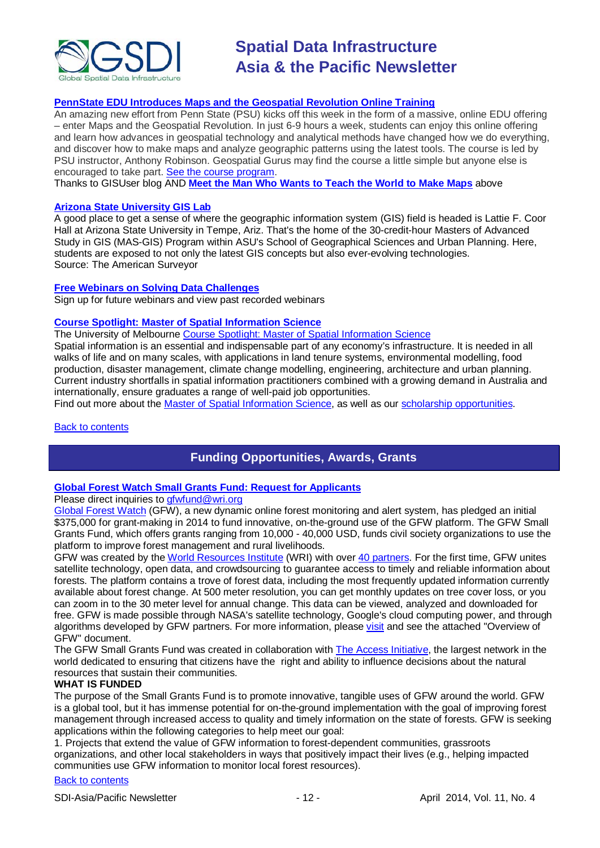

# **[PennState EDU Introduces Maps and the Geospatial](http://blog.gisuser.com/2013/07/16/pennstate-edu-introduces-maps-and-the-geospatial-revolution-online-training/) Revolution Online Training**

An amazing new effort from Penn State (PSU) kicks off this week in the form of a massive, online EDU offering – enter Maps and the Geospatial Revolution. In just 6-9 hours a week, students can enjoy this online offering and learn how advances in geospatial technology and analytical methods have changed how we do everything, and discover how to make maps and analyze geographic patterns using the latest tools. The course is led by PSU instructor, Anthony Robinson. Geospatial Gurus may find the course a little simple but anyone else is encouraged to take part. [See the course program.](https://www.coursera.org/course/maps)

Thanks to GISUser blog AND **[Meet the Man Who Wants to Teach the World to Make Maps](#page-9-0)** above

# **[Arizona State University](http://www.amerisurv.com/content/view/11050/153/) GIS Lab**

A good place to get a sense of where the geographic information system (GIS) field is headed is Lattie F. Coor Hall at Arizona State University in Tempe, Ariz. That's the home of the 30-credit-hour Masters of Advanced Study in GIS (MAS-GIS) Program within ASU's School of Geographical Sciences and Urban Planning. Here, students are exposed to not only the latest GIS concepts but also ever-evolving technologies. Source: The American Surveyor

### **[Free Webinars on Solving Data Challenges](http://www.safe.com/learning/webinars/)**

Sign up for future webinars and view past recorded webinars

### **[Course Spotlight: Master of Spatial Information Science](http://themelbourneengineer.eng.unimelb.edu.au/2012/02/course-spotlight-master-of-spatial-information-science/)**

The University of Melbourne [Course Spotlight: Master of Spatial Information Science](http://themelbourneengineer.eng.unimelb.edu.au/2012/02/course-spotlight-master-of-spatial-information-science/)

Spatial information is an essential and indispensable part of any economy's infrastructure. It is needed in all walks of life and on many scales, with applications in land tenure systems, environmental modelling, food production, disaster management, climate change modelling, engineering, architecture and urban planning. Current industry shortfalls in spatial information practitioners combined with a growing demand in Australia and internationally, ensure graduates a range of well-paid job opportunities.

Find out more about the [Master of Spatial Information Science,](http://www.msi.unimelb.edu.au/study/graduate/master-of-spatial-information-science/) as well as our [scholarship opportunities.](http://www.eng.unimelb.edu.au/study/graduate/scholarships.html)

<span id="page-11-0"></span>[Back to contents](#page-0-0)

# **Funding Opportunities, Awards, Grants**

# **[Global Forest Watch Small Grants Fund: Request](https://sites.google.com/site/gfwsgf/aboutGlobal) for Applicants**

Please direct inquiries to **gfwfund@wri.org** 

[Global Forest Watch](http://www.globalforestwatch.org/) (GFW), a new dynamic online forest monitoring and alert system, has pledged an initial \$375,000 for grant-making in 2014 to fund innovative, on-the-ground use of the GFW platform. The GFW Small Grants Fund, which offers grants ranging from 10,000 - 40,000 USD, funds civil society organizations to use the platform to improve forest management and rural livelihoods.

GFW was created by th[e World Resources Institute](http://www.wri.org/) (WRI) with ove[r 40 partners.](http://www.globalforestwatch.org/about/partners) For the first time, GFW unites satellite technology, open data, and crowdsourcing to guarantee access to timely and reliable information about forests. The platform contains a trove of forest data, including the most frequently updated information currently available about forest change. At 500 meter resolution, you can get monthly updates on tree cover loss, or you can zoom in to the 30 meter level for annual change. This data can be viewed, analyzed and downloaded for free. GFW is made possible through NASA's satellite technology, Google's cloud computing power, and through algorithms developed by GFW partners. For more information, please [visit](http://www.globalforestwatch.org/) and see the attached "Overview of GFW" document.

The GFW Small Grants Fund was created in collaboration with [The Access Initiative,](http://www.accessinitiative.org/) the largest network in the world dedicated to ensuring that citizens have the right and ability to influence decisions about the natural resources that sustain their communities.

### **WHAT IS FUNDED**

The purpose of the Small Grants Fund is to promote innovative, tangible uses of GFW around the world. GFW is a global tool, but it has immense potential for on-the-ground implementation with the goal of improving forest management through increased access to quality and timely information on the state of forests. GFW is seeking applications within the following categories to help meet our goal:

1. Projects that extend the value of GFW information to forest-dependent communities, grassroots organizations, and other local stakeholders in ways that positively impact their lives (e.g., helping impacted communities use GFW information to monitor local forest resources).

# [Back to contents](#page-0-0)

SDI-Asia/Pacific Newsletter 12 - 12 - 12 - April 2014, Vol. 11, No. 4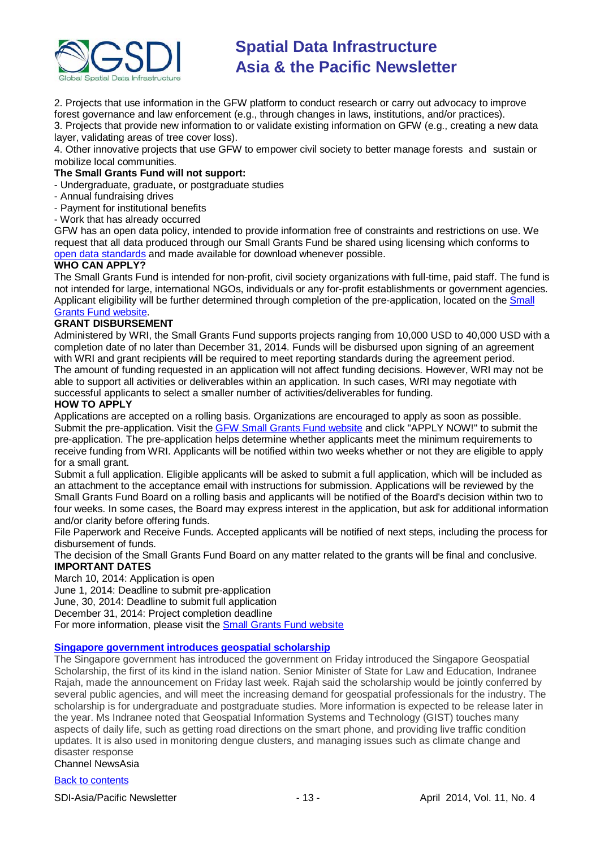

2. Projects that use information in the GFW platform to conduct research or carry out advocacy to improve forest governance and law enforcement (e.g., through changes in laws, institutions, and/or practices).

3. Projects that provide new information to or validate existing information on GFW (e.g., creating a new data layer, validating areas of tree cover loss).

4. Other innovative projects that use GFW to empower civil society to better manage forests and sustain or mobilize local communities.

# **The Small Grants Fund will not support:**

- Undergraduate, graduate, or postgraduate studies
- Annual fundraising drives
- Payment for institutional benefits
- Work that has already occurred

GFW has an open data policy, intended to provide information free of constraints and restrictions on use. We request that all data produced through our Small Grants Fund be shared using licensing which conforms to [open data standards](http://opendefinition.org/licenses/) and made available for download whenever possible.

# **WHO CAN APPLY?**

The Small Grants Fund is intended for non-profit, civil society organizations with full-time, paid staff. The fund is not intended for large, international NGOs, individuals or any for-profit establishments or government agencies. Applicant eligibility will be further determined through completion of the pre-application, located on the [Small](https://sites.google.com/site/gfwsgf/)  [Grants Fund website.](https://sites.google.com/site/gfwsgf/)

# **GRANT DISBURSEMENT**

Administered by WRI, the Small Grants Fund supports projects ranging from 10,000 USD to 40,000 USD with a completion date of no later than December 31, 2014. Funds will be disbursed upon signing of an agreement with WRI and grant recipients will be required to meet reporting standards during the agreement period. The amount of funding requested in an application will not affect funding decisions. However, WRI may not be able to support all activities or deliverables within an application. In such cases, WRI may negotiate with successful applicants to select a smaller number of activities/deliverables for funding.

# **HOW TO APPLY**

Applications are accepted on a rolling basis. Organizations are encouraged to apply as soon as possible. Submit the pre-application. Visit the [GFW Small Grants Fund website](https://sites.google.com/site/gfwsgf/) and click "APPLY NOW!" to submit the pre-application. The pre-application helps determine whether applicants meet the minimum requirements to receive funding from WRI. Applicants will be notified within two weeks whether or not they are eligible to apply for a small grant.

Submit a full application. Eligible applicants will be asked to submit a full application, which will be included as an attachment to the acceptance email with instructions for submission. Applications will be reviewed by the Small Grants Fund Board on a rolling basis and applicants will be notified of the Board's decision within two to four weeks. In some cases, the Board may express interest in the application, but ask for additional information and/or clarity before offering funds.

File Paperwork and Receive Funds. Accepted applicants will be notified of next steps, including the process for disbursement of funds.

The decision of the Small Grants Fund Board on any matter related to the grants will be final and conclusive. **IMPORTANT DATES**

March 10, 2014: Application is open

June 1, 2014: Deadline to submit pre-application

June, 30, 2014: Deadline to submit full application

December 31, 2014: Project completion deadline

For more information, please visit the [Small Grants Fund website](https://sites.google.com/site/gfwsgf/)

# **[Singapore government introduces geospatial scholarship](http://www.channelnewsasia.com/news/singapore/government-introduces/763842.html)**

The Singapore government has introduced the government on Friday introduced the Singapore Geospatial Scholarship, the first of its kind in the island nation. Senior Minister of State for Law and Education, Indranee Rajah, made the announcement on Friday last week. Rajah said the scholarship would be jointly conferred by several public agencies, and will meet the increasing demand for geospatial professionals for the industry. The scholarship is for undergraduate and postgraduate studies. More information is expected to be release later in the year. Ms Indranee noted that Geospatial Information Systems and Technology (GIST) touches many aspects of daily life, such as getting road directions on the smart phone, and providing live traffic condition updates. It is also used in monitoring dengue clusters, and managing issues such as climate change and disaster response

Channel NewsAsia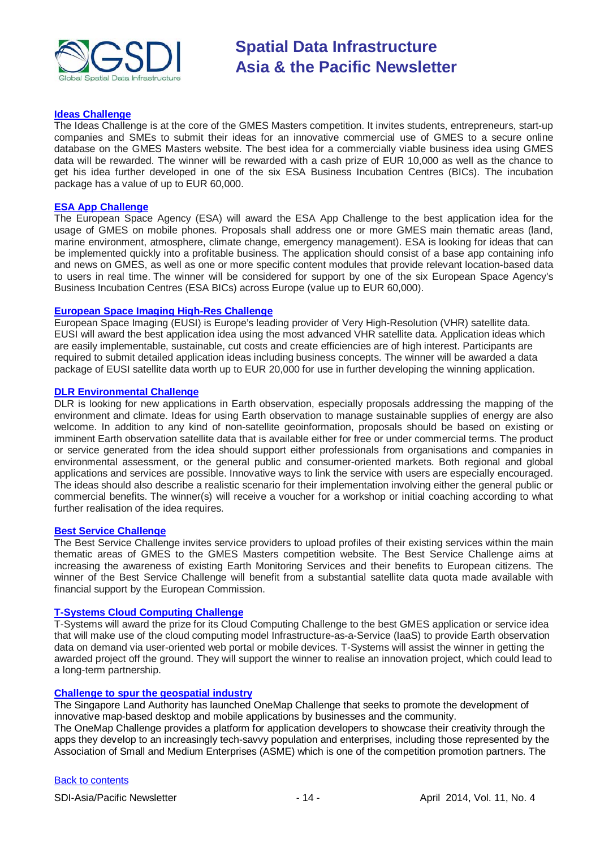

### **[Ideas Challenge](http://www.gmes-masters.com/ideas-challenge)**

The Ideas Challenge is at the core of the GMES Masters competition. It invites students, entrepreneurs, start-up companies and SMEs to submit their ideas for an innovative commercial use of GMES to a secure online database on the GMES Masters website. The best idea for a commercially viable business idea using GMES data will be rewarded. The winner will be rewarded with a cash prize of EUR 10,000 as well as the chance to get his idea further developed in one of the six ESA Business Incubation Centres (BICs). The incubation package has a value of up to EUR 60,000.

#### **[ESA App Challenge](http://www.gmes-masters.com/esa-app-challenge)**

The European Space Agency (ESA) will award the ESA App Challenge to the best application idea for the usage of GMES on mobile phones. Proposals shall address one or more GMES main thematic areas (land, marine environment, atmosphere, climate change, emergency management). ESA is looking for ideas that can be implemented quickly into a profitable business. The application should consist of a base app containing info and news on GMES, as well as one or more specific content modules that provide relevant location-based data to users in real time. The winner will be considered for support by one of the six European Space Agency's Business Incubation Centres (ESA BICs) across Europe (value up to EUR 60,000).

#### **[European Space Imaging High-Res Challenge](http://www.gmes-masters.com/european-space-0)**

European Space Imaging (EUSI) is Europe's leading provider of Very High-Resolution (VHR) satellite data. EUSI will award the best application idea using the most advanced VHR satellite data. Application ideas which are easily implementable, sustainable, cut costs and create efficiencies are of high interest. Participants are required to submit detailed application ideas including business concepts. The winner will be awarded a data package of EUSI satellite data worth up to EUR 20,000 for use in further developing the winning application.

#### **[DLR Environmental Challenge](http://www.gmes-masters.com/dlr-environmental)**

DLR is looking for new applications in Earth observation, especially proposals addressing the mapping of the environment and climate. Ideas for using Earth observation to manage sustainable supplies of energy are also welcome. In addition to any kind of non-satellite geoinformation, proposals should be based on existing or imminent Earth observation satellite data that is available either for free or under commercial terms. The product or service generated from the idea should support either professionals from organisations and companies in environmental assessment, or the general public and consumer-oriented markets. Both regional and global applications and services are possible. Innovative ways to link the service with users are especially encouraged. The ideas should also describe a realistic scenario for their implementation involving either the general public or commercial benefits. The winner(s) will receive a voucher for a workshop or initial coaching according to what further realisation of the idea requires.

#### **[Best Service Challenge](http://www.gmes-masters.com/best-service)**

The Best Service Challenge invites service providers to upload profiles of their existing services within the main thematic areas of GMES to the GMES Masters competition website. The Best Service Challenge aims at increasing the awareness of existing Earth Monitoring Services and their benefits to European citizens. The winner of the Best Service Challenge will benefit from a substantial satellite data quota made available with financial support by the European Commission.

### **[T-Systems Cloud Computing Challenge](http://www.gmes-masters.com/t-systems-cloud)**

T-Systems will award the prize for its Cloud Computing Challenge to the best GMES application or service idea that will make use of the cloud computing model Infrastructure-as-a-Service (IaaS) to provide Earth observation data on demand via user-oriented web portal or mobile devices. T-Systems will assist the winner in getting the awarded project off the ground. They will support the winner to realise an innovation project, which could lead to a long-term partnership.

#### **[Challenge to spur the geospatial industry](http://geospatialworld.net/index.php?option=com_content&view=article&id=23850:challenge-to-spur-the-geospatial-industry&catid=75:miscellaneous-events)**

The Singapore Land Authority has launched OneMap Challenge that seeks to promote the development of innovative map-based desktop and mobile applications by businesses and the community.

The OneMap Challenge provides a platform for application developers to showcase their creativity through the apps they develop to an increasingly tech-savvy population and enterprises, including those represented by the Association of Small and Medium Enterprises (ASME) which is one of the competition promotion partners. The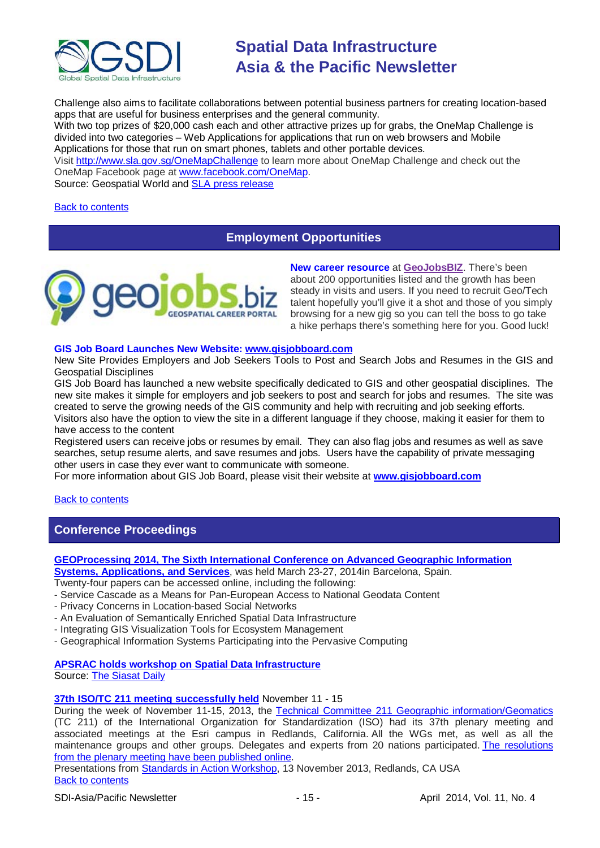

Challenge also aims to facilitate collaborations between potential business partners for creating location-based apps that are useful for business enterprises and the general community.

With two top prizes of \$20,000 cash each and other attractive prizes up for grabs, the OneMap Challenge is divided into two categories – Web Applications for applications that run on web browsers and Mobile Applications for those that run on smart phones, tablets and other portable devices.

Visit <http://www.sla.gov.sg/OneMapChallenge> to learn more about OneMap Challenge and check out the OneMap Facebook page at [www.facebook.com/OneMap.](http://www.facebook.com/OneMap)

Source: Geospatial World and [SLA press release](http://www.sla.gov.sg/htm/new/new2012/new0401.htm)

# <span id="page-14-0"></span>[Back to contents](#page-0-0)

# **Employment Opportunities**



**New career resource** at **[GeoJobsBIZ](http://geojobs.biz/)**. There's been about 200 opportunities listed and the growth has been steady in visits and users. If you need to recruit Geo/Tech talent hopefully you'll give it a shot and those of you simply browsing for a new gig so you can tell the boss to go take a hike perhaps there's something here for you. Good luck!

# **GIS Job Board Launches New Website: [www.gisjobboard.com](http://www.gisjobboard.com/)**

New Site Provides Employers and Job Seekers Tools to Post and Search Jobs and Resumes in the GIS and Geospatial Disciplines

GIS Job Board has launched a new website specifically dedicated to GIS and other geospatial disciplines. The new site makes it simple for employers and job seekers to post and search for jobs and resumes. The site was created to serve the growing needs of the GIS community and help with recruiting and job seeking efforts. Visitors also have the option to view the site in a different language if they choose, making it easier for them to have access to the content

Registered users can receive jobs or resumes by email. They can also flag jobs and resumes as well as save searches, setup resume alerts, and save resumes and jobs. Users have the capability of private messaging other users in case they ever want to communicate with someone.

For more information about GIS Job Board, please visit their website at **[www.gisjobboard.com](http://www.gisjobboard.com/)**

**[Back to contents](#page-0-0)** 

# <span id="page-14-1"></span>**Conference Proceedings**

# **[GEOProcessing 2014, The Sixth International Conference on Advanced Geographic Information](http://www.thinkmind.org/index.php?view=instance&instance=GEOProcessing+2014)**

**[Systems, Applications, and Services](http://www.thinkmind.org/index.php?view=instance&instance=GEOProcessing+2014)**, was held March 23-27, 2014in Barcelona, Spain.

Twenty-four papers can be accessed online, including the following:

- Service Cascade as a Means for Pan-European Access to National Geodata Content
- Privacy Concerns in Location-based Social Networks
- An Evaluation of Semantically Enriched Spatial Data Infrastructure
- Integrating GIS Visualization Tools for Ecosystem Management
- Geographical Information Systems Participating into the Pervasive Computing

**[APSRAC holds workshop on Spatial Data Infrastructure](http://www.siasat.com/english/news/apsrac-holds-workshop-spatial-data-infrastructure)**

Source: [The Siasat Daily](http://www.siasat.com/)

# **[37th ISO/TC 211 meeting successfully held](http://www.isotc211.org/News_archive/Redlands.htm)** November 11 - 15

During the week of November 11-15, 2013, the [Technical Committee 211 Geographic information/Geomatics](http://www.isotc211.org/) (TC 211) of the International Organization for Standardization (ISO) had its 37th plenary meeting and associated meetings at the Esri campus in Redlands, California. All the WGs met, as well as all the maintenance groups and other groups. Delegates and experts from 20 nations participated. [The resolutions](http://www.isotc211.org/opendoc/211n3671/ISO-TC211-N3671_Resolutions_37th_meeting_Redlands_2013-11-15.pdf)  [from the plenary meeting have been published online.](http://www.isotc211.org/opendoc/211n3671/ISO-TC211-N3671_Resolutions_37th_meeting_Redlands_2013-11-15.pdf)

[Back to contents](#page-0-0) Presentations from [Standards in Action Workshop,](http://www.isotc211.org/Workshop_Redlands/Redlands-Standards_in_action_workshop.pdf) 13 November 2013, Redlands, CA USA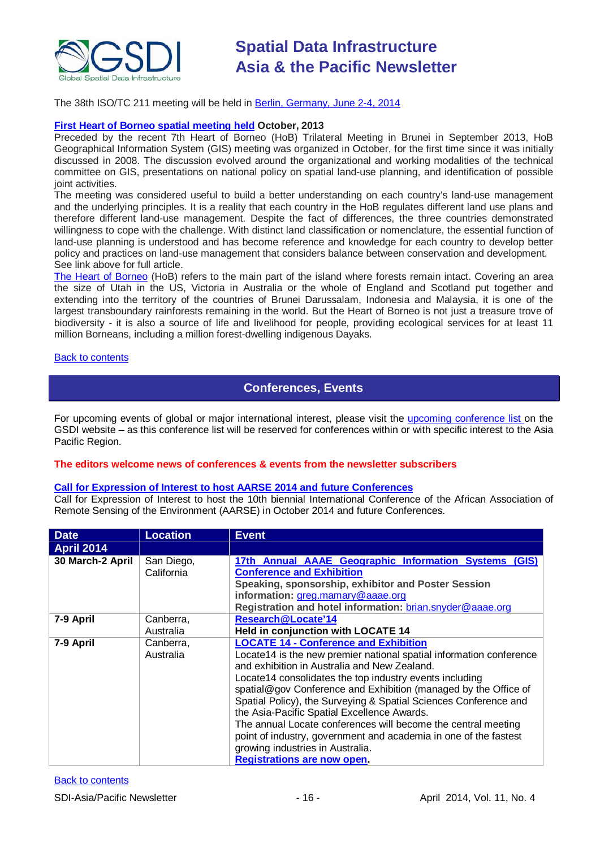

The 38th ISO/TC 211 meeting will be held in [Berlin, Germany,](http://www.isotc211.org/Berlin/Berlin_2014.pdf) June 2-4, 2014

# **First [Heart of Borneo spatial meeting held](http://wwf.panda.org/?212013/The-First-Heart-of-Borneo-Spatial-Meeting) October, 2013**

Preceded by the recent 7th Heart of Borneo (HoB) Trilateral Meeting in Brunei in September 2013, HoB Geographical Information System (GIS) meeting was organized in October, for the first time since it was initially discussed in 2008. The discussion evolved around the organizational and working modalities of the technical committee on GIS, presentations on national policy on spatial land-use planning, and identification of possible joint activities.

The meeting was considered useful to build a better understanding on each country's land-use management and the underlying principles. It is a reality that each country in the HoB regulates different land use plans and therefore different land-use management. Despite the fact of differences, the three countries demonstrated willingness to cope with the challenge. With distinct land classification or nomenclature, the essential function of land-use planning is understood and has become reference and knowledge for each country to develop better policy and practices on land-use management that considers balance between conservation and development. See link above for full article.

[The Heart of Borneo](http://wwf.panda.org/what_we_do/where_we_work/borneo_forests/) (HoB) refers to the main part of the island where forests remain intact. Covering an area the size of Utah in the US, Victoria in Australia or the whole of England and Scotland put together and extending into the territory of the countries of Brunei Darussalam, Indonesia and Malaysia, it is one of the largest transboundary rainforests remaining in the world. But the Heart of Borneo is not just a treasure trove of biodiversity - it is also a source of life and livelihood for people, providing ecological services for at least 11 million Borneans, including a million forest-dwelling indigenous Dayaks.

### <span id="page-15-0"></span>[Back to contents](#page-0-0)

# **Conferences, Events**

For upcoming events of global or major international interest, please visit the [upcoming conference list o](http://gsdi.org/events/upcnf.asp)n the GSDI website – as this conference list will be reserved for conferences within or with specific interest to the Asia Pacific Region.

### **The editors welcome news of conferences & events from the newsletter subscribers**

### **[Call for Expression of Interest to host AARSE 2014 and future Conferences](http://lists.gsdi.org/pipermail/sdi-africa/2010-November/001135.html)**

Call for Expression of Interest to host the 10th biennial International Conference of the African Association of Remote Sensing of the Environment (AARSE) in October 2014 and future Conferences.

| <b>Date</b>       | <b>Location</b>          | <b>Event</b>                                                                                                                                                                                                                                                                                                                                                                                                                                                                                                                                                                                                                        |
|-------------------|--------------------------|-------------------------------------------------------------------------------------------------------------------------------------------------------------------------------------------------------------------------------------------------------------------------------------------------------------------------------------------------------------------------------------------------------------------------------------------------------------------------------------------------------------------------------------------------------------------------------------------------------------------------------------|
| <b>April 2014</b> |                          |                                                                                                                                                                                                                                                                                                                                                                                                                                                                                                                                                                                                                                     |
| 30 March-2 April  | San Diego,<br>California | 17th Annual AAAE Geographic Information Systems (GIS)<br><b>Conference and Exhibition</b><br>Speaking, sponsorship, exhibitor and Poster Session<br>information: greg.mamary@aaae.org<br>Registration and hotel information: brian.snyder@aaae.org                                                                                                                                                                                                                                                                                                                                                                                  |
| 7-9 April         | Canberra,<br>Australia   | Research@Locate'14<br>Held in conjunction with LOCATE 14                                                                                                                                                                                                                                                                                                                                                                                                                                                                                                                                                                            |
| 7-9 April         | Canberra,<br>Australia   | <b>LOCATE 14 - Conference and Exhibition</b><br>Locate14 is the new premier national spatial information conference<br>and exhibition in Australia and New Zealand.<br>Locate14 consolidates the top industry events including<br>spatial@gov Conference and Exhibition (managed by the Office of<br>Spatial Policy), the Surveying & Spatial Sciences Conference and<br>the Asia-Pacific Spatial Excellence Awards.<br>The annual Locate conferences will become the central meeting<br>point of industry, government and academia in one of the fastest<br>growing industries in Australia.<br><b>Registrations are now open.</b> |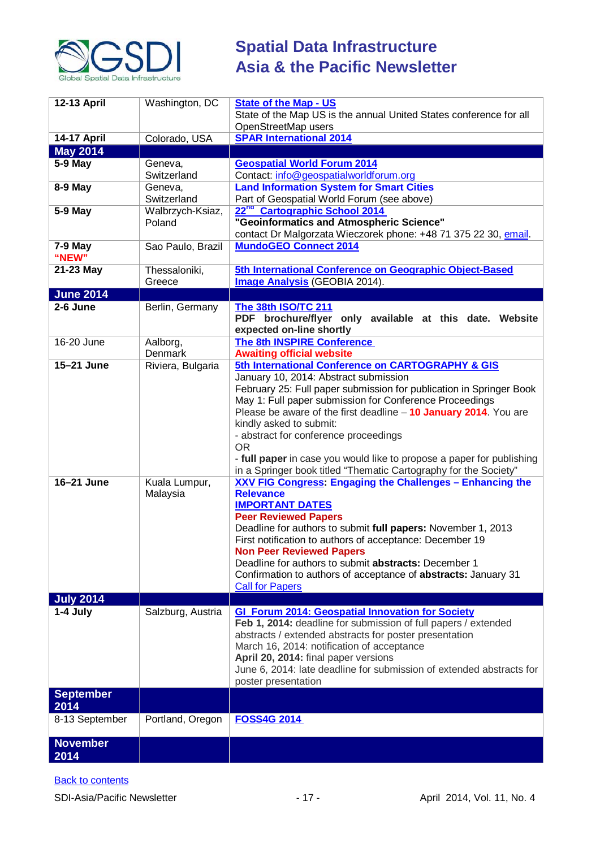

| <b>12-13 April</b>      | Washington, DC             | <b>State of the Map - US</b><br>State of the Map US is the annual United States conference for all<br>OpenStreetMap users                                                                                                                                                                                                                                                                                                                                                                                                      |
|-------------------------|----------------------------|--------------------------------------------------------------------------------------------------------------------------------------------------------------------------------------------------------------------------------------------------------------------------------------------------------------------------------------------------------------------------------------------------------------------------------------------------------------------------------------------------------------------------------|
| 14-17 April             | Colorado, USA              | <b>SPAR International 2014</b>                                                                                                                                                                                                                                                                                                                                                                                                                                                                                                 |
| <b>May 2014</b>         |                            |                                                                                                                                                                                                                                                                                                                                                                                                                                                                                                                                |
| 5-9 May                 | Geneva,<br>Switzerland     | <b>Geospatial World Forum 2014</b><br>Contact: info@geospatialworldforum.org                                                                                                                                                                                                                                                                                                                                                                                                                                                   |
| 8-9 May                 | Geneva,<br>Switzerland     | <b>Land Information System for Smart Cities</b><br>Part of Geospatial World Forum (see above)                                                                                                                                                                                                                                                                                                                                                                                                                                  |
| 5-9 May                 | Walbrzych-Ksiaz,<br>Poland | 22 <sup>na</sup> Cartographic School 2014<br>"Geoinformatics and Atmospheric Science"<br>contact Dr Malgorzata Wieczorek phone: +48 71 375 22 30, email.                                                                                                                                                                                                                                                                                                                                                                       |
| $7-9$ May<br>"NEW"      | Sao Paulo, Brazil          | <b>MundoGEO Connect 2014</b>                                                                                                                                                                                                                                                                                                                                                                                                                                                                                                   |
| 21-23 May               | Thessaloniki,<br>Greece    | 5th International Conference on Geographic Object-Based<br>Image Analysis (GEOBIA 2014).                                                                                                                                                                                                                                                                                                                                                                                                                                       |
| <b>June 2014</b>        |                            |                                                                                                                                                                                                                                                                                                                                                                                                                                                                                                                                |
| 2-6 June                | Berlin, Germany            | The 38th ISO/TC 211<br>PDF brochure/flyer only available at this date. Website<br>expected on-line shortly                                                                                                                                                                                                                                                                                                                                                                                                                     |
| 16-20 June              | Aalborg,<br>Denmark        | <b>The 8th INSPIRE Conference</b><br><b>Awaiting official website</b>                                                                                                                                                                                                                                                                                                                                                                                                                                                          |
| 15-21 June              | Riviera, Bulgaria          | 5th International Conference on CARTOGRAPHY & GIS<br>January 10, 2014: Abstract submission<br>February 25: Full paper submission for publication in Springer Book<br>May 1: Full paper submission for Conference Proceedings<br>Please be aware of the first deadline - 10 January 2014. You are<br>kindly asked to submit:<br>- abstract for conference proceedings<br><b>OR</b><br>- full paper in case you would like to propose a paper for publishing<br>in a Springer book titled "Thematic Cartography for the Society" |
| 16-21 June              | Kuala Lumpur,<br>Malaysia  | <b>XXV FIG Congress: Engaging the Challenges - Enhancing the</b><br><b>Relevance</b><br><b>IMPORTANT DATES</b><br><b>Peer Reviewed Papers</b><br>Deadline for authors to submit full papers: November 1, 2013<br>First notification to authors of acceptance: December 19<br><b>Non Peer Reviewed Papers</b><br>Deadline for authors to submit abstracts: December 1<br>Confirmation to authors of acceptance of abstracts: January 31<br><b>Call for Papers</b>                                                               |
| <b>July 2014</b>        |                            |                                                                                                                                                                                                                                                                                                                                                                                                                                                                                                                                |
| 1-4 July                | Salzburg, Austria          | <b>GI_Forum 2014: Geospatial Innovation for Society</b><br>Feb 1, 2014: deadline for submission of full papers / extended<br>abstracts / extended abstracts for poster presentation<br>March 16, 2014: notification of acceptance<br>April 20, 2014: final paper versions<br>June 6, 2014: late deadline for submission of extended abstracts for<br>poster presentation                                                                                                                                                       |
| <b>September</b>        |                            |                                                                                                                                                                                                                                                                                                                                                                                                                                                                                                                                |
| 2014<br>8-13 September  | Portland, Oregon           | <b>FOSS4G 2014</b>                                                                                                                                                                                                                                                                                                                                                                                                                                                                                                             |
| <b>November</b><br>2014 |                            |                                                                                                                                                                                                                                                                                                                                                                                                                                                                                                                                |